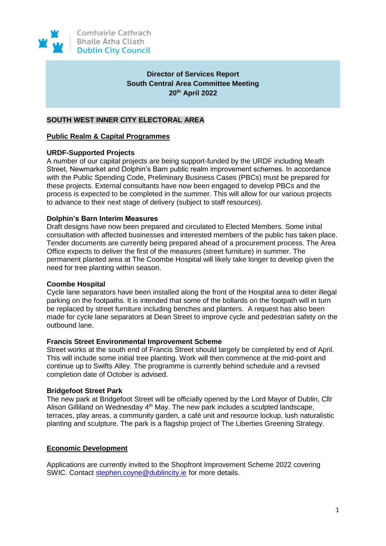

# **Director of Services Report South Central Area Committee Meeting 20th April 2022**

# **SOUTH WEST INNER CITY ELECTORAL AREA**

## **Public Realm & Capital Programmes**

## **URDF-Supported Projects**

A number of our capital projects are being support-funded by the URDF including Meath Street, Newmarket and Dolphin's Barn public realm improvement schemes. In accordance with the Public Spending Code, Preliminary Business Cases (PBCs) must be prepared for these projects. External consultants have now been engaged to develop PBCs and the process is expected to be completed in the summer. This will allow for our various projects to advance to their next stage of delivery (subject to staff resources).

## **Dolphin's Barn Interim Measures**

Draft designs have now been prepared and circulated to Elected Members. Some initial consultation with affected businesses and interested members of the public has taken place. Tender documents are currently being prepared ahead of a procurement process. The Area Office expects to deliver the first of the measures (street furniture) in summer. The permanent planted area at The Coombe Hospital will likely take longer to develop given the need for tree planting within season.

#### **Coombe Hospital**

Cycle lane separators have been installed along the front of the Hospital area to deter illegal parking on the footpaths. It is intended that some of the bollards on the footpath will in turn be replaced by street furniture including benches and planters. A request has also been made for cycle lane separators at Dean Street to improve cycle and pedestrian safety on the outbound lane.

#### **Francis Street Environmental Improvement Scheme**

Street works at the south end of Francis Street should largely be completed by end of April. This will include some initial tree planting. Work will then commence at the mid-point and continue up to Swifts Alley. The programme is currently behind schedule and a revised completion date of October is advised.

#### **Bridgefoot Street Park**

The new park at Bridgefoot Street will be officially opened by the Lord Mayor of Dublin, Cllr Alison Gilliland on Wednesday 4<sup>th</sup> May. The new park includes a sculpted landscape, terraces, play areas, a community garden, a café unit and resource lockup, lush naturalistic planting and sculpture. The park is a flagship project of The Liberties Greening Strategy.

# **Economic Development**

Applications are currently invited to the Shopfront Improvement Scheme 2022 covering SWIC. Contact [stephen.coyne@dublincity.ie](mailto:stephen.coyne@dublincity.ie) for more details.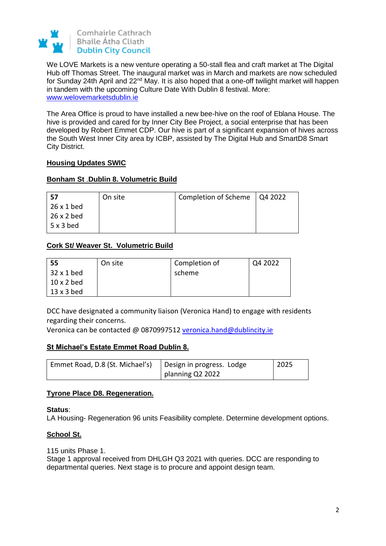

We LOVE Markets is a new venture operating a 50-stall flea and craft market at The Digital Hub off Thomas Street. The inaugural market was in March and markets are now scheduled for Sunday 24th April and 22<sup>nd</sup> May. It is also hoped that a one-off twilight market will happen in tandem with the upcoming Culture Date With Dublin 8 festival. More: [www.welovemarketsdublin.ie](http://www.welovemarketsdublin.ie/)

The Area Office is proud to have installed a new bee-hive on the roof of Eblana House. The hive is provided and cared for by Inner City Bee Project, a social enterprise that has been developed by Robert Emmet CDP. Our hive is part of a significant expansion of hives across the South West Inner City area by ICBP, assisted by The Digital Hub and SmartD8 Smart City District.

# **Housing Updates SWIC**

# **Bonham St** .**Dublin 8. Volumetric Build**

| -57               | On site | Completion of Scheme   Q4 2022 |  |
|-------------------|---------|--------------------------------|--|
| 26 x 1 bed        |         |                                |  |
| $26 \times 2$ bed |         |                                |  |
| $5 \times 3$ bed  |         |                                |  |

# **Cork St/ Weaver St. Volumetric Build**

| 55                | On site | Completion of | Q4 2022 |
|-------------------|---------|---------------|---------|
| $32 \times 1$ bed |         | scheme        |         |
| $10 \times 2$ bed |         |               |         |
| $13 \times 3$ bed |         |               |         |

DCC have designated a community liaison (Veronica Hand) to engage with residents regarding their concerns.

Veronica can be contacted @ 0870997512 [veronica.hand@dublincity.ie](mailto:veronica.hand@dublincity.ie)

# **St Michael's Estate Emmet Road Dublin 8.**

| Emmet Road, D.8 (St. Michael's)   Design in progress. Lodge |                  | $\frac{1}{2025}$ |
|-------------------------------------------------------------|------------------|------------------|
|                                                             | planning Q2 2022 |                  |

# **Tyrone Place D8. Regeneration.**

# **Status**:

LA Housing- Regeneration 96 units Feasibility complete. Determine development options.

# **School St.**

115 units Phase 1.

Stage 1 approval received from DHLGH Q3 2021 with queries. DCC are responding to departmental queries. Next stage is to procure and appoint design team.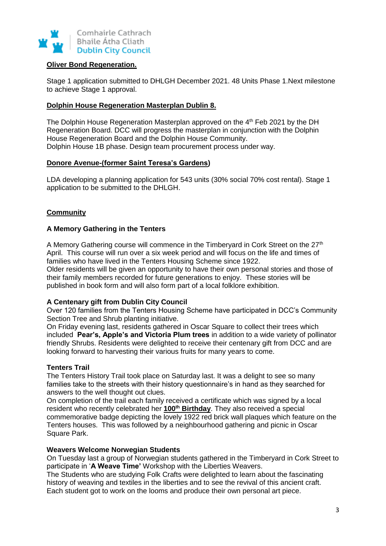

## **Oliver Bond Regeneration.**

Stage 1 application submitted to DHLGH December 2021. 48 Units Phase 1.Next milestone to achieve Stage 1 approval.

# **Dolphin House Regeneration Masterplan Dublin 8.**

The Dolphin House Regeneration Masterplan approved on the 4<sup>th</sup> Feb 2021 by the DH Regeneration Board. DCC will progress the masterplan in conjunction with the Dolphin House Regeneration Board and the Dolphin House Community. Dolphin House 1B phase. Design team procurement process under way.

# **Donore Avenue-(former Saint Teresa's Gardens)**

LDA developing a planning application for 543 units (30% social 70% cost rental). Stage 1 application to be submitted to the DHLGH.

# **Community**

# **A Memory Gathering in the Tenters**

A Memory Gathering course will commence in the Timberyard in Cork Street on the 27<sup>th</sup> April. This course will run over a six week period and will focus on the life and times of families who have lived in the Tenters Housing Scheme since 1922.

Older residents will be given an opportunity to have their own personal stories and those of their family members recorded for future generations to enjoy. These stories will be published in book form and will also form part of a local folklore exhibition.

# **A Centenary gift from Dublin City Council**

Over 120 families from the Tenters Housing Scheme have participated in DCC's Community Section Tree and Shrub planting initiative.

On Friday evening last, residents gathered in Oscar Square to collect their trees which included **Pear's, Apple's and Victoria Plum trees** in addition to a wide variety of pollinator friendly Shrubs. Residents were delighted to receive their centenary gift from DCC and are looking forward to harvesting their various fruits for many years to come.

# **Tenters Trail**

The Tenters History Trail took place on Saturday last. It was a delight to see so many families take to the streets with their history questionnaire's in hand as they searched for answers to the well thought out clues.

On completion of the trail each family received a certificate which was signed by a local resident who recently celebrated her **100th Birthday**. They also received a special commemorative badge depicting the lovely 1922 red brick wall plaques which feature on the Tenters houses. This was followed by a neighbourhood gathering and picnic in Oscar Square Park.

# **Weavers Welcome Norwegian Students**

On Tuesday last a group of Norwegian students gathered in the Timberyard in Cork Street to participate in '**A Weave Time'** Workshop with the Liberties Weavers.

The Students who are studying Folk Crafts were delighted to learn about the fascinating history of weaving and textiles in the liberties and to see the revival of this ancient craft. Each student got to work on the looms and produce their own personal art piece.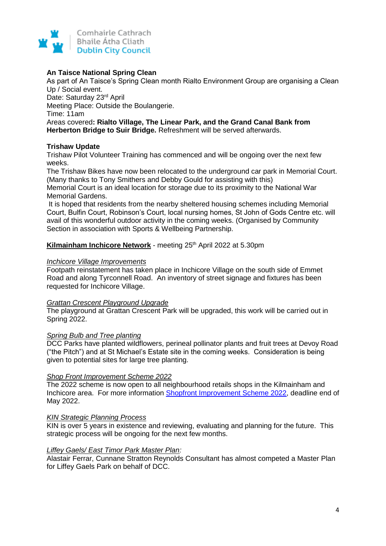

# **An Taisce National Spring Clean**

As part of An Taisce's Spring Clean month Rialto Environment Group are organising a Clean Up / Social event. Date: Saturday 23rd April Meeting Place: Outside the Boulangerie. Time: 11am Areas covered**: Rialto Village, The Linear Park, and the Grand Canal Bank from Herberton Bridge to Suir Bridge.** Refreshment will be served afterwards.

# **Trishaw Update**

Trishaw Pilot Volunteer Training has commenced and will be ongoing over the next few weeks.

The Trishaw Bikes have now been relocated to the underground car park in Memorial Court. (Many thanks to Tony Smithers and Debby Gould for assisting with this) Memorial Court is an ideal location for storage due to its proximity to the National War Memorial Gardens.

It is hoped that residents from the nearby sheltered housing schemes including Memorial Court, Bulfin Court, Robinson's Court, local nursing homes, St John of Gods Centre etc. will avail of this wonderful outdoor activity in the coming weeks. (Organised by Community Section in association with Sports & Wellbeing Partnership.

## **Kilmainham Inchicore Network** - meeting 25<sup>th</sup> April 2022 at 5.30pm

#### *Inchicore Village Improvements*

Footpath reinstatement has taken place in Inchicore Village on the south side of Emmet Road and along Tyrconnell Road. An inventory of street signage and fixtures has been requested for Inchicore Village.

#### *Grattan Crescent Playground Upgrade*

The playground at Grattan Crescent Park will be upgraded, this work will be carried out in Spring 2022.

#### *Spring Bulb and Tree planting*

DCC Parks have planted wildflowers, perineal pollinator plants and fruit trees at Devoy Road ("the Pitch") and at St Michael's Estate site in the coming weeks. Consideration is being given to potential sites for large tree planting.

# *Shop Front Improvement Scheme 2022*

The 2022 scheme is now open to all neighbourhood retails shops in the Kilmainham and Inchicore area. For more information [Shopfront Improvement Scheme 2022,](https://libertiesdublin.ie/shopfront-improvement-scheme-2022/) deadline end of May 2022.

#### *KIN Strategic Planning Process*

KIN is over 5 years in existence and reviewing, evaluating and planning for the future. This strategic process will be ongoing for the next few months.

#### *Liffey Gaels/ East Timor Park Master Plan:*

Alastair Ferrar, Cunnane Stratton Reynolds Consultant has almost competed a Master Plan for Liffey Gaels Park on behalf of DCC.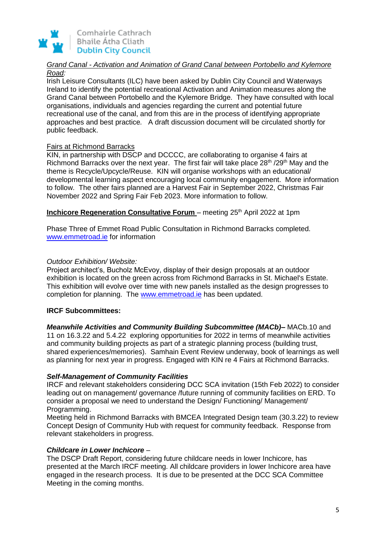

# *Grand Canal - Activation and Animation of Grand Canal between Portobello and Kylemore Road:*

Irish Leisure Consultants (ILC) have been asked by Dublin City Council and Waterways Ireland to identify the potential recreational Activation and Animation measures along the Grand Canal between Portobello and the Kylemore Bridge. They have consulted with local organisations, individuals and agencies regarding the current and potential future recreational use of the canal, and from this are in the process of identifying appropriate approaches and best practice*.* A draft discussion document will be circulated shortly for public feedback.

# Fairs at Richmond Barracks

KIN, in partnership with DSCP and DCCCC, are collaborating to organise 4 fairs at Richmond Barracks over the next year. The first fair will take place 28<sup>th</sup> /29<sup>th</sup> May and the theme is Recycle/Upcycle/Reuse. KIN will organise workshops with an educational/ developmental learning aspect encouraging local community engagement. More information to follow. The other fairs planned are a Harvest Fair in September 2022, Christmas Fair November 2022 and Spring Fair Feb 2023. More information to follow.

**Inchicore Regeneration Consultative Forum** - meeting 25<sup>th</sup> April 2022 at 1pm

Phase Three of Emmet Road Public Consultation in Richmond Barracks completed. [www.emmetroad.ie](https://scanner.topsec.com/?r=show&t=d8a6620c891812039ea036800bfc0f779dc124d0&u=http%3A%2F%2Fwww.emmetroad.ie&d=1962) for information

# *Outdoor Exhibition/ Website:*

Project architect's, Bucholz McEvoy, display of their design proposals at an outdoor exhibition is located on the green across from Richmond Barracks in St. Michael's Estate. This exhibition will evolve over time with new panels installed as the design progresses to completion for planning. The [www.emmetroad.ie](http://www.emmetroad.ie/) has been updated.

# **IRCF Subcommittees:**

*Meanwhile Activities and Community Building Subcommittee (MACb)–* MACb.10 and 11 on 16.3.22 and 5.4.22 exploring opportunities for 2022 in terms of meanwhile activities and community building projects as part of a strategic planning process (building trust, shared experiences/memories). Samhain Event Review underway, book of learnings as well as planning for next year in progress. Engaged with KIN re 4 Fairs at Richmond Barracks.

# *Self-Management of Community Facilities*

IRCF and relevant stakeholders considering DCC SCA invitation (15th Feb 2022) to consider leading out on management/ governance /future running of community facilities on ERD. To consider a proposal we need to understand the Design/ Functioning/ Management/ Programming.

Meeting held in Richmond Barracks with BMCEA Integrated Design team (30.3.22) to review Concept Design of Community Hub with request for community feedback. Response from relevant stakeholders in progress.

# *Childcare in Lower Inchicore* –

The DSCP Draft Report, considering future childcare needs in lower Inchicore, has presented at the March IRCF meeting. All childcare providers in lower Inchicore area have engaged in the research process. It is due to be presented at the DCC SCA Committee Meeting in the coming months.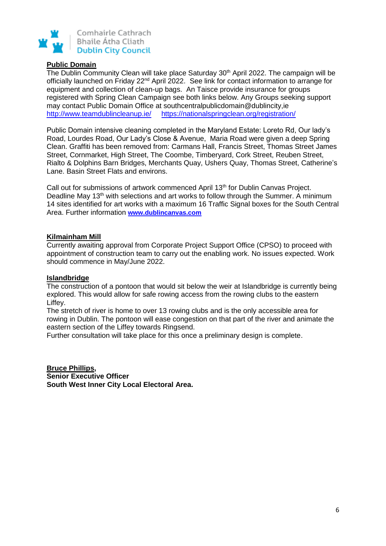

### **Public Domain**

The Dublin Community Clean will take place Saturday 30<sup>th</sup> April 2022. The campaign will be officially launched on Friday 22<sup>nd</sup> April 2022. See link for contact information to arrange for equipment and collection of clean-up bags. An Taisce provide insurance for groups registered with Spring Clean Campaign see both links below. Any Groups seeking support may contact Public Domain Office at southcentralpublicdomain@dublincity,ie <http://www.teamdublincleanup.ie/><https://nationalspringclean.org/registration/>

Public Domain intensive cleaning completed in the Maryland Estate: Loreto Rd, Our lady's Road, Lourdes Road, Our Lady's Close & Avenue, Maria Road were given a deep Spring Clean. Graffiti has been removed from: Carmans Hall, Francis Street, Thomas Street James Street, Cornmarket, High Street, The Coombe, Timberyard, Cork Street, Reuben Street, Rialto & Dolphins Barn Bridges, Merchants Quay, Ushers Quay, Thomas Street, Catherine's Lane. Basin Street Flats and environs.

Call out for submissions of artwork commenced April 13<sup>th</sup> for Dublin Canvas Project. Deadline May 13<sup>th</sup> with selections and art works to follow through the Summer. A minimum 14 sites identified for art works with a maximum 16 Traffic Signal boxes for the South Central Area. Further information **[www.dublincanvas.com](https://scanner.topsec.com/?t=c42bc3794569a9e58432ba6d55e90672dc50a991&d=1962&u=www.dublincanvas.com&r=show)**

## **Kilmainham Mill**

Currently awaiting approval from Corporate Project Support Office (CPSO) to proceed with appointment of construction team to carry out the enabling work. No issues expected. Work should commence in May/June 2022.

#### **Islandbridge**

The construction of a pontoon that would sit below the weir at Islandbridge is currently being explored. This would allow for safe rowing access from the rowing clubs to the eastern Liffey.

The stretch of river is home to over 13 rowing clubs and is the only accessible area for rowing in Dublin. The pontoon will ease congestion on that part of the river and animate the eastern section of the Liffey towards Ringsend.

Further consultation will take place for this once a preliminary design is complete.

**Bruce Phillips, Senior Executive Officer South West Inner City Local Electoral Area.**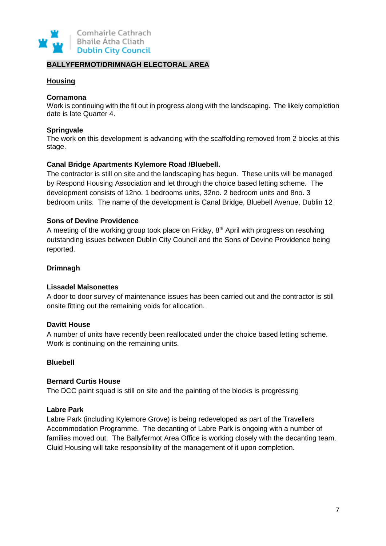

# **BALLYFERMOT/DRIMNAGH ELECTORAL AREA**

# **Housing**

## **Cornamona**

Work is continuing with the fit out in progress along with the landscaping. The likely completion date is late Quarter 4.

## **Springvale**

The work on this development is advancing with the scaffolding removed from 2 blocks at this stage.

# **Canal Bridge Apartments Kylemore Road /Bluebell.**

The contractor is still on site and the landscaping has begun. These units will be managed by Respond Housing Association and let through the choice based letting scheme. The development consists of 12no. 1 bedrooms units, 32no. 2 bedroom units and 8no. 3 bedroom units. The name of the development is Canal Bridge, Bluebell Avenue, Dublin 12

## **Sons of Devine Providence**

A meeting of the working group took place on Friday, 8<sup>th</sup> April with progress on resolving outstanding issues between Dublin City Council and the Sons of Devine Providence being reported.

# **Drimnagh**

#### **Lissadel Maisonettes**

A door to door survey of maintenance issues has been carried out and the contractor is still onsite fitting out the remaining voids for allocation.

## **Davitt House**

A number of units have recently been reallocated under the choice based letting scheme. Work is continuing on the remaining units.

#### **Bluebell**

#### **Bernard Curtis House**

The DCC paint squad is still on site and the painting of the blocks is progressing

#### **Labre Park**

Labre Park (including Kylemore Grove) is being redeveloped as part of the Travellers Accommodation Programme. The decanting of Labre Park is ongoing with a number of families moved out. The Ballyfermot Area Office is working closely with the decanting team. Cluid Housing will take responsibility of the management of it upon completion.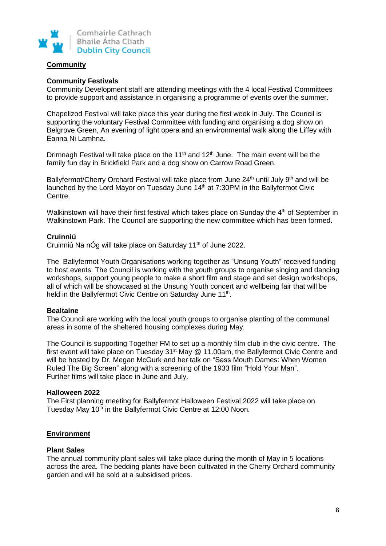

# **Community**

# **Community Festivals**

Community Development staff are attending meetings with the 4 local Festival Committees to provide support and assistance in organising a programme of events over the summer.

Chapelizod Festival will take place this year during the first week in July. The Council is supporting the voluntary Festival Committee with funding and organising a dog show on Belgrove Green, An evening of light opera and an environmental walk along the Liffey with Éanna Ni Lamhna.

Drimnagh Festival will take place on the 11<sup>th</sup> and 12<sup>th</sup> June. The main event will be the family fun day in Brickfield Park and a dog show on Carrow Road Green.

Ballyfermot/Cherry Orchard Festival will take place from June 24<sup>th</sup> until July 9<sup>th</sup> and will be launched by the Lord Mayor on Tuesday June 14<sup>th</sup> at 7:30PM in the Ballyfermot Civic Centre.

Walkinstown will have their first festival which takes place on Sunday the  $4<sup>th</sup>$  of September in Walkinstown Park. The Council are supporting the new committee which has been formed.

# **Cruinniú**

Cruinniú Na nÓg will take place on Saturday 11<sup>th</sup> of June 2022.

The Ballyfermot Youth Organisations working together as "Unsung Youth" received funding to host events. The Council is working with the youth groups to organise singing and dancing workshops, support young people to make a short film and stage and set design workshops, all of which will be showcased at the Unsung Youth concert and wellbeing fair that will be held in the Ballyfermot Civic Centre on Saturday June 11<sup>th</sup>.

# **Bealtaine**

The Council are working with the local youth groups to organise planting of the communal areas in some of the sheltered housing complexes during May.

The Council is supporting Together FM to set up a monthly film club in the civic centre. The first event will take place on Tuesday 31<sup>st</sup> May @ 11.00am, the Ballyfermot Civic Centre and will be hosted by Dr. Megan McGurk and her talk on "Sass Mouth Dames: When Women Ruled The Big Screen" along with a screening of the 1933 film "Hold Your Man". Further films will take place in June and July.

#### **Halloween 2022**

The First planning meeting for Ballyfermot Halloween Festival 2022 will take place on Tuesday May 10<sup>th</sup> in the Ballyfermot Civic Centre at 12:00 Noon.

# **Environment**

#### **Plant Sales**

The annual community plant sales will take place during the month of May in 5 locations across the area. The bedding plants have been cultivated in the Cherry Orchard community garden and will be sold at a subsidised prices.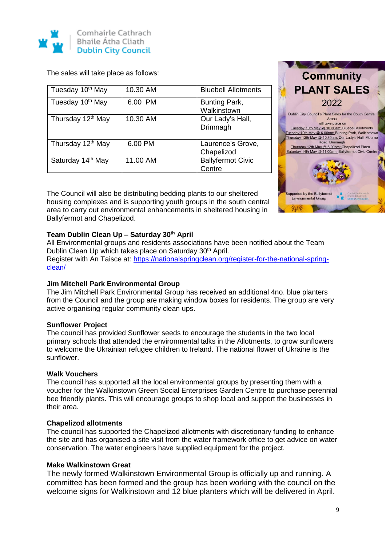

The sales will take place as follows:

| Tuesday 10th May              | 10.30 AM | <b>Bluebell Allotments</b>         |
|-------------------------------|----------|------------------------------------|
| Tuesday 10 <sup>th</sup> May  | 6.00 PM  | Bunting Park,<br>Walkinstown       |
| Thursday 12 <sup>th</sup> May | 10.30 AM | Our Lady's Hall,<br>Drimnagh       |
| Thursday 12 <sup>th</sup> May | 6.00 PM  | Laurence's Grove,<br>Chapelizod    |
| Saturday 14th May             | 11.00 AM | <b>Ballyfermot Civic</b><br>Centre |

The Council will also be distributing bedding plants to our sheltered housing complexes and is supporting youth groups in the south central area to carry out environmental enhancements in sheltered housing in Ballyfermot and Chapelizod.



# **Team Dublin Clean Up – Saturday 30th April**

All Environmental groups and residents associations have been notified about the Team Dublin Clean Up which takes place on Saturday 30<sup>th</sup> April. Register with An Taisce at: [https://nationalspringclean.org/register-for-the-national-spring](https://nationalspringclean.org/register-for-the-national-spring-clean/)[clean/](https://nationalspringclean.org/register-for-the-national-spring-clean/)

# **Jim Mitchell Park Environmental Group**

The Jim Mitchell Park Environmental Group has received an additional 4no. blue planters from the Council and the group are making window boxes for residents. The group are very active organising regular community clean ups.

#### **Sunflower Project**

The council has provided Sunflower seeds to encourage the students in the two local primary schools that attended the environmental talks in the Allotments, to grow sunflowers to welcome the Ukrainian refugee children to Ireland. The national flower of Ukraine is the sunflower.

#### **Walk Vouchers**

The council has supported all the local environmental groups by presenting them with a voucher for the Walkinstown Green Social Enterprises Garden Centre to purchase perennial bee friendly plants. This will encourage groups to shop local and support the businesses in their area.

# **Chapelizod allotments**

The council has supported the Chapelizod allotments with discretionary funding to enhance the site and has organised a site visit from the water framework office to get advice on water conservation. The water engineers have supplied equipment for the project.

# **Make Walkinstown Great**

The newly formed Walkinstown Environmental Group is officially up and running. A committee has been formed and the group has been working with the council on the welcome signs for Walkinstown and 12 blue planters which will be delivered in April.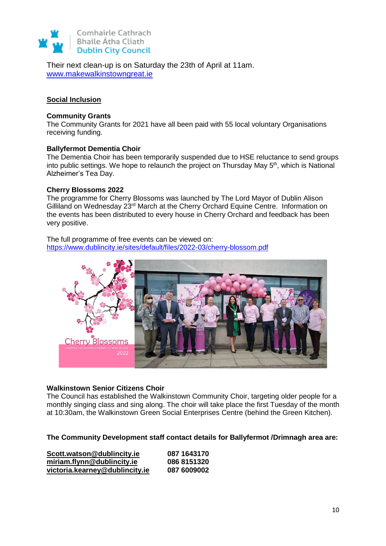

Their next clean-up is on Saturday the 23th of April at 11am. [www.makewalkinstowngreat.ie](http://www.makewalkinstowngreat.ie/)

## **Social Inclusion**

#### **Community Grants**

The Community Grants for 2021 have all been paid with 55 local voluntary Organisations receiving funding.

#### **Ballyfermot Dementia Choir**

The Dementia Choir has been temporarily suspended due to HSE reluctance to send groups into public settings. We hope to relaunch the project on Thursday May 5<sup>th</sup>, which is National Alzheimer's Tea Day.

#### **Cherry Blossoms 2022**

The programme for Cherry Blossoms was launched by The Lord Mayor of Dublin Alison Gilliland on Wednesday 23rd March at the Cherry Orchard Equine Centre. Information on the events has been distributed to every house in Cherry Orchard and feedback has been very positive.

The full programme of free events can be viewed on: <https://www.dublincity.ie/sites/default/files/2022-03/cherry-blossom.pdf>



#### **Walkinstown Senior Citizens Choir**

The Council has established the Walkinstown Community Choir, targeting older people for a monthly singing class and sing along. The choir will take place the first Tuesday of the month at 10:30am, the Walkinstown Green Social Enterprises Centre (behind the Green Kitchen).

**The Community Development staff contact details for Ballyfermot /Drimnagh area are:**

| Scott.watson@dublincity.ie     | 087 1643170 |
|--------------------------------|-------------|
| miriam.flynn@dublincity.ie     | 086 8151320 |
| victoria.kearney@dublincity.ie | 087 6009002 |